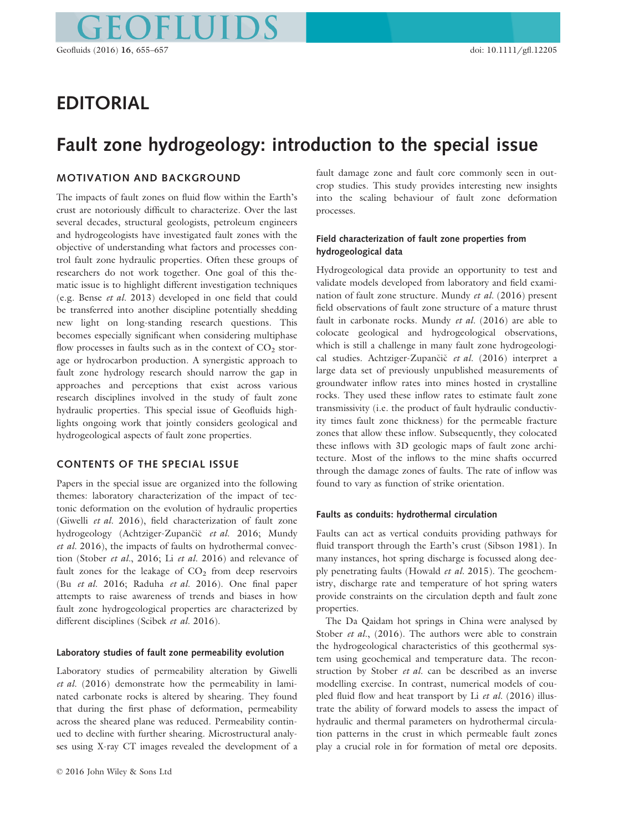# EDITORIAL

# Fault zone hydrogeology: introduction to the special issue

# MOTIVATION AND BACKGROUND

The impacts of fault zones on fluid flow within the Earth's crust are notoriously difficult to characterize. Over the last several decades, structural geologists, petroleum engineers and hydrogeologists have investigated fault zones with the objective of understanding what factors and processes control fault zone hydraulic properties. Often these groups of researchers do not work together. One goal of this thematic issue is to highlight different investigation techniques (e.g. Bense et al. 2013) developed in one field that could be transferred into another discipline potentially shedding new light on long-standing research questions. This becomes especially significant when considering multiphase flow processes in faults such as in the context of  $CO<sub>2</sub>$  storage or hydrocarbon production. A synergistic approach to fault zone hydrology research should narrow the gap in approaches and perceptions that exist across various research disciplines involved in the study of fault zone hydraulic properties. This special issue of Geofluids highlights ongoing work that jointly considers geological and hydrogeological aspects of fault zone properties.

# CONTENTS OF THE SPECIAL ISSUE

Papers in the special issue are organized into the following themes: laboratory characterization of the impact of tectonic deformation on the evolution of hydraulic properties (Giwelli et al. 2016), field characterization of fault zone hydrogeology (Achtziger-Zupančič et al. 2016; Mundy et al. 2016), the impacts of faults on hydrothermal convection (Stober et al., 2016; Li et al. 2016) and relevance of fault zones for the leakage of  $CO<sub>2</sub>$  from deep reservoirs (Bu et al. 2016; Raduha et al. 2016). One final paper attempts to raise awareness of trends and biases in how fault zone hydrogeological properties are characterized by different disciplines (Scibek et al. 2016).

#### Laboratory studies of fault zone permeability evolution

Laboratory studies of permeability alteration by Giwelli et al. (2016) demonstrate how the permeability in laminated carbonate rocks is altered by shearing. They found that during the first phase of deformation, permeability across the sheared plane was reduced. Permeability continued to decline with further shearing. Microstructural analyses using X-ray CT images revealed the development of a fault damage zone and fault core commonly seen in outcrop studies. This study provides interesting new insights into the scaling behaviour of fault zone deformation processes.

# Field characterization of fault zone properties from hydrogeological data

Hydrogeological data provide an opportunity to test and validate models developed from laboratory and field examination of fault zone structure. Mundy et al. (2016) present field observations of fault zone structure of a mature thrust fault in carbonate rocks. Mundy et al. (2016) are able to colocate geological and hydrogeological observations, which is still a challenge in many fault zone hydrogeological studies. Achtziger-Zupančič et al. (2016) interpret a large data set of previously unpublished measurements of groundwater inflow rates into mines hosted in crystalline rocks. They used these inflow rates to estimate fault zone transmissivity (i.e. the product of fault hydraulic conductivity times fault zone thickness) for the permeable fracture zones that allow these inflow. Subsequently, they colocated these inflows with 3D geologic maps of fault zone architecture. Most of the inflows to the mine shafts occurred through the damage zones of faults. The rate of inflow was found to vary as function of strike orientation.

#### Faults as conduits: hydrothermal circulation

Faults can act as vertical conduits providing pathways for fluid transport through the Earth's crust (Sibson 1981). In many instances, hot spring discharge is focussed along deeply penetrating faults (Howald et al. 2015). The geochemistry, discharge rate and temperature of hot spring waters provide constraints on the circulation depth and fault zone properties.

The Da Qaidam hot springs in China were analysed by Stober et al.,  $(2016)$ . The authors were able to constrain the hydrogeological characteristics of this geothermal system using geochemical and temperature data. The reconstruction by Stober et al. can be described as an inverse modelling exercise. In contrast, numerical models of coupled fluid flow and heat transport by Li et al. (2016) illustrate the ability of forward models to assess the impact of hydraulic and thermal parameters on hydrothermal circulation patterns in the crust in which permeable fault zones play a crucial role in for formation of metal ore deposits.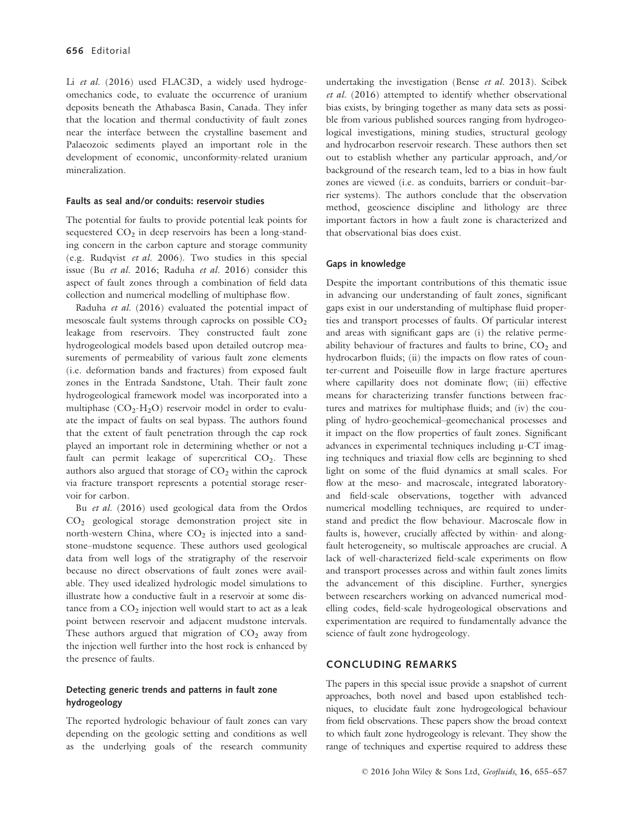Li et al. (2016) used FLAC3D, a widely used hydrogeomechanics code, to evaluate the occurrence of uranium deposits beneath the Athabasca Basin, Canada. They infer that the location and thermal conductivity of fault zones near the interface between the crystalline basement and Palaeozoic sediments played an important role in the development of economic, unconformity-related uranium mineralization.

#### Faults as seal and/or conduits: reservoir studies

The potential for faults to provide potential leak points for sequestered  $CO<sub>2</sub>$  in deep reservoirs has been a long-standing concern in the carbon capture and storage community (e.g. Rudqvist et al. 2006). Two studies in this special issue (Bu et al. 2016; Raduha et al. 2016) consider this aspect of fault zones through a combination of field data collection and numerical modelling of multiphase flow.

Raduha et al. (2016) evaluated the potential impact of mesoscale fault systems through caprocks on possible  $CO<sub>2</sub>$ leakage from reservoirs. They constructed fault zone hydrogeological models based upon detailed outcrop measurements of permeability of various fault zone elements (i.e. deformation bands and fractures) from exposed fault zones in the Entrada Sandstone, Utah. Their fault zone hydrogeological framework model was incorporated into a multiphase  $(CO_2-H_2O)$  reservoir model in order to evaluate the impact of faults on seal bypass. The authors found that the extent of fault penetration through the cap rock played an important role in determining whether or not a fault can permit leakage of supercritical  $CO<sub>2</sub>$ . These authors also argued that storage of  $CO<sub>2</sub>$  within the caprock via fracture transport represents a potential storage reservoir for carbon.

Bu et al. (2016) used geological data from the Ordos CO2 geological storage demonstration project site in north-western China, where  $CO<sub>2</sub>$  is injected into a sandstone–mudstone sequence. These authors used geological data from well logs of the stratigraphy of the reservoir because no direct observations of fault zones were available. They used idealized hydrologic model simulations to illustrate how a conductive fault in a reservoir at some distance from a  $CO<sub>2</sub>$  injection well would start to act as a leak point between reservoir and adjacent mudstone intervals. These authors argued that migration of  $CO<sub>2</sub>$  away from the injection well further into the host rock is enhanced by the presence of faults.

# Detecting generic trends and patterns in fault zone hydrogeology

The reported hydrologic behaviour of fault zones can vary depending on the geologic setting and conditions as well as the underlying goals of the research community undertaking the investigation (Bense et al. 2013). Scibek et al. (2016) attempted to identify whether observational bias exists, by bringing together as many data sets as possible from various published sources ranging from hydrogeological investigations, mining studies, structural geology and hydrocarbon reservoir research. These authors then set out to establish whether any particular approach, and/or background of the research team, led to a bias in how fault zones are viewed (i.e. as conduits, barriers or conduit-barrier systems). The authors conclude that the observation method, geoscience discipline and lithology are three important factors in how a fault zone is characterized and that observational bias does exist.

### Gaps in knowledge

Despite the important contributions of this thematic issue in advancing our understanding of fault zones, significant gaps exist in our understanding of multiphase fluid properties and transport processes of faults. Of particular interest and areas with significant gaps are (i) the relative permeability behaviour of fractures and faults to brine,  $CO<sub>2</sub>$  and hydrocarbon fluids; (ii) the impacts on flow rates of counter-current and Poiseuille flow in large fracture apertures where capillarity does not dominate flow; (iii) effective means for characterizing transfer functions between fractures and matrixes for multiphase fluids; and (iv) the coupling of hydro-geochemical–geomechanical processes and it impact on the flow properties of fault zones. Significant advances in experimental techniques including  $\mu$ -CT imaging techniques and triaxial flow cells are beginning to shed light on some of the fluid dynamics at small scales. For flow at the meso- and macroscale, integrated laboratoryand field-scale observations, together with advanced numerical modelling techniques, are required to understand and predict the flow behaviour. Macroscale flow in faults is, however, crucially affected by within- and alongfault heterogeneity, so multiscale approaches are crucial. A lack of well-characterized field-scale experiments on flow and transport processes across and within fault zones limits the advancement of this discipline. Further, synergies between researchers working on advanced numerical modelling codes, field-scale hydrogeological observations and experimentation are required to fundamentally advance the science of fault zone hydrogeology.

#### CONCLUDING REMARKS

The papers in this special issue provide a snapshot of current approaches, both novel and based upon established techniques, to elucidate fault zone hydrogeological behaviour from field observations. These papers show the broad context to which fault zone hydrogeology is relevant. They show the range of techniques and expertise required to address these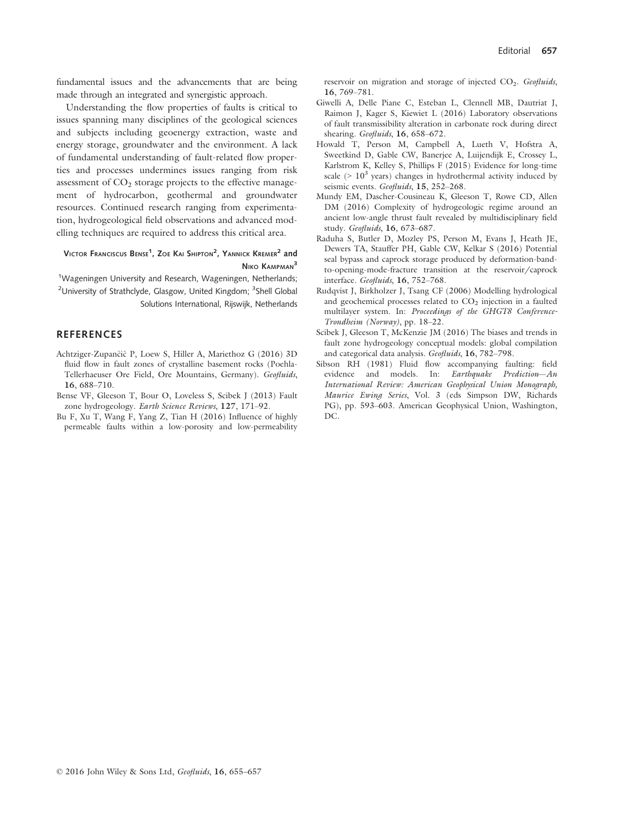fundamental issues and the advancements that are being made through an integrated and synergistic approach.

Understanding the flow properties of faults is critical to issues spanning many disciplines of the geological sciences and subjects including geoenergy extraction, waste and energy storage, groundwater and the environment. A lack of fundamental understanding of fault-related flow properties and processes undermines issues ranging from risk assessment of  $CO<sub>2</sub>$  storage projects to the effective management of hydrocarbon, geothermal and groundwater resources. Continued research ranging from experimentation, hydrogeological field observations and advanced modelling techniques are required to address this critical area.

# Victor Franciscus Bense<sup>1</sup>, Zoe Kai Shipton<sup>2</sup>, Yannick Kremer<sup>2</sup> and NIKO KAMPMAN<sup>3</sup>

<sup>1</sup>Wageningen University and Research, Wageningen, Netherlands; <sup>2</sup>University of Strathclyde, Glasgow, United Kingdom; <sup>3</sup>Shell Global Solutions International, Rijswijk, Netherlands

## **REFERENCES**

- Achtziger-Zupančič P, Loew S, Hiller A, Mariethoz G (2016) 3D fluid flow in fault zones of crystalline basement rocks (Poehla-Tellerhaeuser Ore Field, Ore Mountains, Germany). Geofluids, 16, 688–710.
- Bense VF, Gleeson T, Bour O, Loveless S, Scibek J (2013) Fault zone hydrogeology. Earth Science Reviews, 127, 171–92.
- Bu F, Xu T, Wang F, Yang Z, Tian H (2016) Influence of highly permeable faults within a low-porosity and low-permeability

reservoir on migration and storage of injected  $CO<sub>2</sub>$ . Geofluids, 16, 769–781.

- Giwelli A, Delle Piane C, Esteban L, Clennell MB, Dautriat J, Raimon J, Kager S, Kiewiet L (2016) Laboratory observations of fault transmissibility alteration in carbonate rock during direct shearing. Geofluids, 16, 658-672.
- Howald T, Person M, Campbell A, Lueth V, Hofstra A, Sweetkind D, Gable CW, Banerjee A, Luijendijk E, Crossey L, Karlstrom K, Kelley S, Phillips F (2015) Evidence for long-time scale ( $> 10<sup>3</sup>$  years) changes in hydrothermal activity induced by seismic events. Geofluids, 15, 252-268.
- Mundy EM, Dascher-Cousineau K, Gleeson T, Rowe CD, Allen DM (2016) Complexity of hydrogeologic regime around an ancient low-angle thrust fault revealed by multidisciplinary field study. Geofluids, 16, 673–687.
- Raduha S, Butler D, Mozley PS, Person M, Evans J, Heath JE, Dewers TA, Stauffer PH, Gable CW, Kelkar S (2016) Potential seal bypass and caprock storage produced by deformation-bandto-opening-mode-fracture transition at the reservoir/caprock interface. Geofluids, 16, 752–768.
- Rudqvist J, Birkholzer J, Tsang CF (2006) Modelling hydrological and geochemical processes related to  $CO<sub>2</sub>$  injection in a faulted multilayer system. In: Proceedings of the GHGT8 Conference-Trondheim (Norway), pp. 18–22.
- Scibek J, Gleeson T, McKenzie JM (2016) The biases and trends in fault zone hydrogeology conceptual models: global compilation and categorical data analysis. Geofluids, 16, 782-798.
- Sibson RH (1981) Fluid flow accompanying faulting: field evidence and models. In: Earthquake Prediction—An International Review: American Geophysical Union Monograph, Maurice Ewing Series, Vol. 3 (eds Simpson DW, Richards PG), pp. 593–603. American Geophysical Union, Washington, DC.